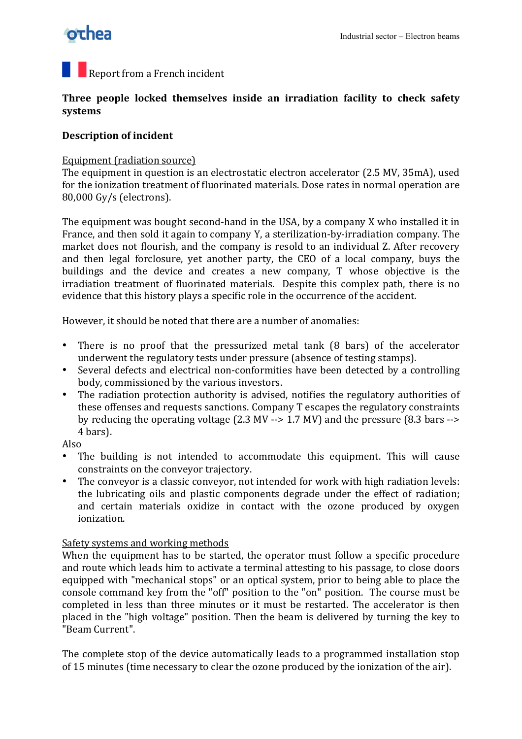# **othea**

## $\blacksquare$  Report from a French incident

## Three people locked themselves inside an irradiation facility to check safety **systems**

## **Description of incident**

#### Equipment (radiation source)

The equipment in question is an electrostatic electron accelerator (2.5 MV, 35mA), used for the ionization treatment of fluorinated materials. Dose rates in normal operation are 80,000 Gy/s (electrons).

The equipment was bought second-hand in the USA, by a company X who installed it in France, and then sold it again to company Y, a sterilization-by-irradiation company. The market does not flourish, and the company is resold to an individual Z. After recovery and then legal forclosure, yet another party, the CEO of a local company, buys the buildings and the device and creates a new company, T whose objective is the irradiation treatment of fluorinated materials. Despite this complex path, there is no evidence that this history plays a specific role in the occurrence of the accident.

However, it should be noted that there are a number of anomalies:

- There is no proof that the pressurized metal tank (8 bars) of the accelerator underwent the regulatory tests under pressure (absence of testing stamps).
- Several defects and electrical non-conformities have been detected by a controlling body, commissioned by the various investors.
- The radiation protection authority is advised, notifies the regulatory authorities of these offenses and requests sanctions. Company T escapes the regulatory constraints by reducing the operating voltage (2.3 MV  $\rightarrow$  1.7 MV) and the pressure (8.3 bars  $\rightarrow$ 4 bars).
- Also
- The building is not intended to accommodate this equipment. This will cause constraints on the conveyor trajectory.
- The conveyor is a classic conveyor, not intended for work with high radiation levels: the lubricating oils and plastic components degrade under the effect of radiation; and certain materials oxidize in contact with the ozone produced by oxygen ionization.

## Safety systems and working methods

When the equipment has to be started, the operator must follow a specific procedure and route which leads him to activate a terminal attesting to his passage, to close doors equipped with "mechanical stops" or an optical system, prior to being able to place the console command key from the "off" position to the "on" position. The course must be completed in less than three minutes or it must be restarted. The accelerator is then placed in the "high voltage" position. Then the beam is delivered by turning the key to "Beam Current".

The complete stop of the device automatically leads to a programmed installation stop of 15 minutes (time necessary to clear the ozone produced by the ionization of the air).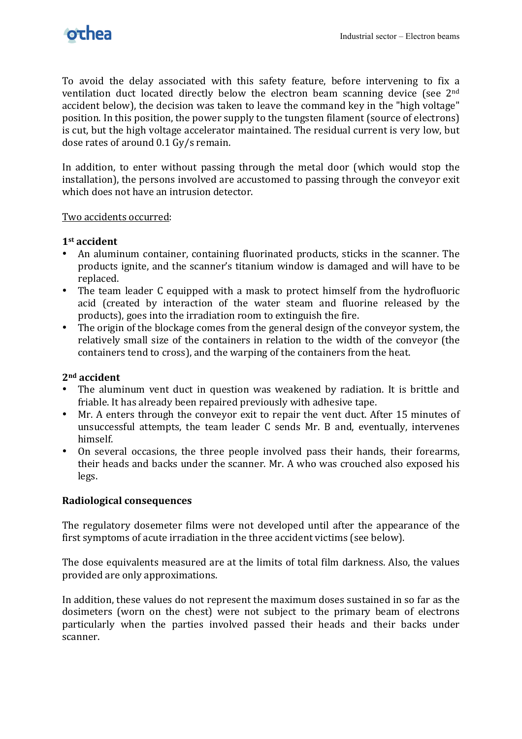

To avoid the delay associated with this safety feature, before intervening to fix a ventilation duct located directly below the electron beam scanning device (see  $2<sup>nd</sup>$ accident below), the decision was taken to leave the command key in the "high voltage" position. In this position, the power supply to the tungsten filament (source of electrons) is cut, but the high voltage accelerator maintained. The residual current is very low, but dose rates of around 0.1 Gy/s remain.

In addition, to enter without passing through the metal door (which would stop the installation), the persons involved are accustomed to passing through the conveyor exit which does not have an intrusion detector.

#### Two accidents occurred:

#### 1<sup>st</sup> accident

- An aluminum container, containing fluorinated products, sticks in the scanner. The products ignite, and the scanner's titanium window is damaged and will have to be replaced.
- The team leader C equipped with a mask to protect himself from the hydrofluoric acid (created by interaction of the water steam and fluorine released by the products), goes into the irradiation room to extinguish the fire.
- The origin of the blockage comes from the general design of the conveyor system, the relatively small size of the containers in relation to the width of the conveyor (the containers tend to cross), and the warping of the containers from the heat.

#### **2nd!accident**

- The aluminum vent duct in question was weakened by radiation. It is brittle and friable. It has already been repaired previously with adhesive tape.
- Mr. A enters through the conveyor exit to repair the vent duct. After 15 minutes of unsuccessful attempts, the team leader C sends Mr. B and, eventually, intervenes himself.
- On several occasions, the three people involved pass their hands, their forearms, their heads and backs under the scanner. Mr. A who was crouched also exposed his legs.

#### **Radiological!consequences**

The regulatory dosemeter films were not developed until after the appearance of the first symptoms of acute irradiation in the three accident victims (see below).

The dose equivalents measured are at the limits of total film darkness. Also, the values provided are only approximations.

In addition, these values do not represent the maximum doses sustained in so far as the dosimeters (worn on the chest) were not subject to the primary beam of electrons particularly when the parties involved passed their heads and their backs under scanner.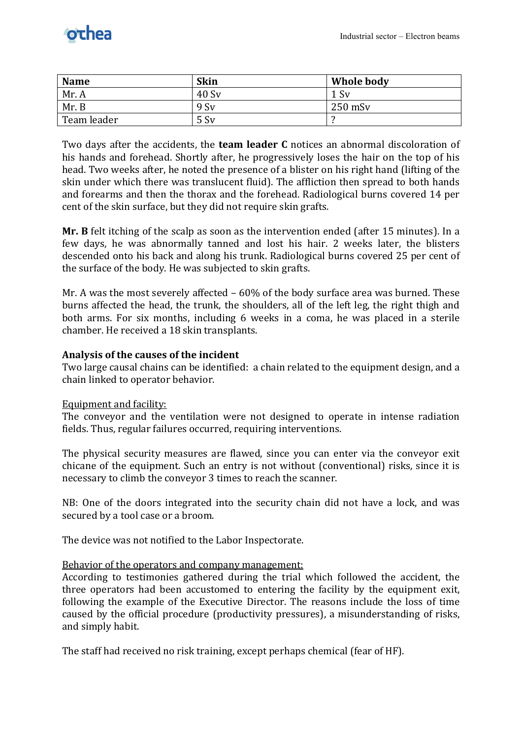| <b>Name</b> | <b>Skin</b> | Whole body |
|-------------|-------------|------------|
| Mr. A       | 40 Sv       | 1 Sv       |
| Mr. B       | 9 Sv        | $250$ mSv  |
| Team leader | 5 Sv        |            |

Two days after the accidents, the **team leader C** notices an abnormal discoloration of his hands and forehead. Shortly after, he progressively loses the hair on the top of his head. Two weeks after, he noted the presence of a blister on his right hand (lifting of the skin under which there was translucent fluid). The affliction then spread to both hands and forearms and then the thorax and the forehead. Radiological burns covered 14 per cent of the skin surface, but they did not require skin grafts.

**Mr. B** felt itching of the scalp as soon as the intervention ended (after 15 minutes). In a few days, he was abnormally tanned and lost his hair. 2 weeks later, the blisters descended onto his back and along his trunk. Radiological burns covered 25 per cent of the surface of the body. He was subjected to skin grafts.

Mr. A was the most severely affected –  $60\%$  of the body surface area was burned. These burns affected the head, the trunk, the shoulders, all of the left leg, the right thigh and both arms. For six months, including 6 weeks in a coma, he was placed in a sterile chamber. He received a 18 skin transplants.

#### Analysis of the causes of the incident

Two large causal chains can be identified: a chain related to the equipment design, and a chain linked to operator behavior.

#### Equipment and facility:

The conveyor and the ventilation were not designed to operate in intense radiation fields. Thus, regular failures occurred, requiring interventions.

The physical security measures are flawed, since you can enter via the conveyor exit chicane of the equipment. Such an entry is not without (conventional) risks, since it is necessary to climb the conveyor 3 times to reach the scanner.

NB: One of the doors integrated into the security chain did not have a lock, and was secured by a tool case or a broom.

The device was not notified to the Labor Inspectorate.

#### Behavior of the operators and company management:

According to testimonies gathered during the trial which followed the accident, the three operators had been accustomed to entering the facility by the equipment exit, following the example of the Executive Director. The reasons include the loss of time caused by the official procedure (productivity pressures), a misunderstanding of risks, and simply habit.

The staff had received no risk training, except perhaps chemical (fear of HF).